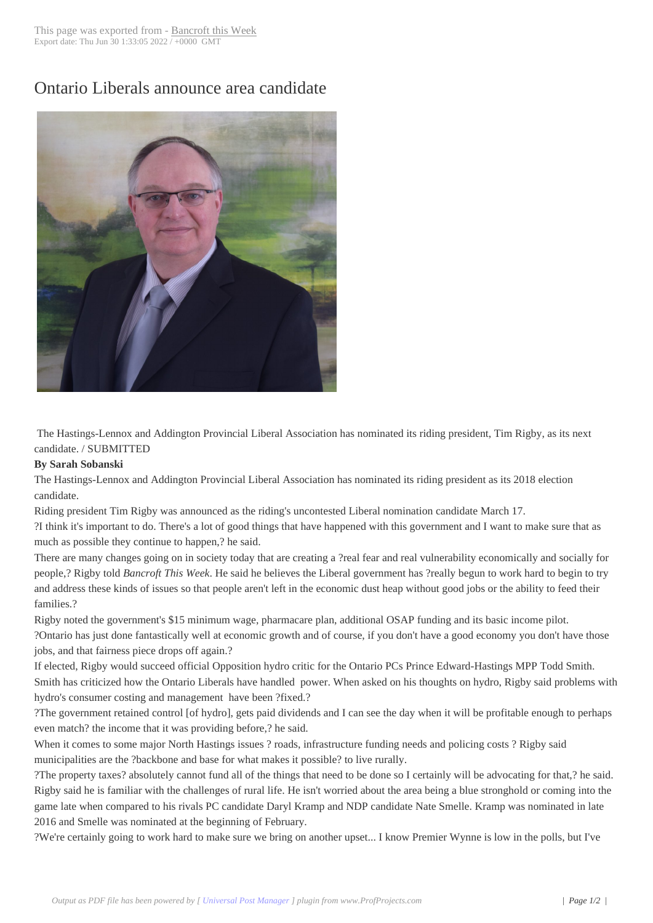## Ontario Liberals an[nounce area](http://www.bancroftthisweek.com/?p=8918) candidate



The Hastings-Lennox and Addington Provincial Liberal Association has nominated its riding president, Tim Rigby, as its next candidate. / SUBMITTED

## **By Sarah Sobanski**

The Hastings-Lennox and Addington Provincial Liberal Association has nominated its riding president as its 2018 election candidate.

Riding president Tim Rigby was announced as the riding's uncontested Liberal nomination candidate March 17.

?I think it's important to do. There's a lot of good things that have happened with this government and I want to make sure that as much as possible they continue to happen,? he said.

There are many changes going on in society today that are creating a ?real fear and real vulnerability economically and socially for people,? Rigby told *Bancroft This Week*. He said he believes the Liberal government has ?really begun to work hard to begin to try and address these kinds of issues so that people aren't left in the economic dust heap without good jobs or the ability to feed their families.?

Rigby noted the government's \$15 minimum wage, pharmacare plan, additional OSAP funding and its basic income pilot.

?Ontario has just done fantastically well at economic growth and of course, if you don't have a good economy you don't have those jobs, and that fairness piece drops off again.?

If elected, Rigby would succeed official Opposition hydro critic for the Ontario PCs Prince Edward-Hastings MPP Todd Smith. Smith has criticized how the Ontario Liberals have handled power. When asked on his thoughts on hydro, Rigby said problems with hydro's consumer costing and management have been ?fixed.?

?The government retained control [of hydro], gets paid dividends and I can see the day when it will be profitable enough to perhaps even match? the income that it was providing before,? he said.

When it comes to some major North Hastings issues ? roads, infrastructure funding needs and policing costs ? Rigby said municipalities are the ?backbone and base for what makes it possible? to live rurally.

?The property taxes? absolutely cannot fund all of the things that need to be done so I certainly will be advocating for that,? he said. Rigby said he is familiar with the challenges of rural life. He isn't worried about the area being a blue stronghold or coming into the game late when compared to his rivals PC candidate Daryl Kramp and NDP candidate Nate Smelle. Kramp was nominated in late 2016 and Smelle was nominated at the beginning of February.

?We're certainly going to work hard to make sure we bring on another upset... I know Premier Wynne is low in the polls, but I've